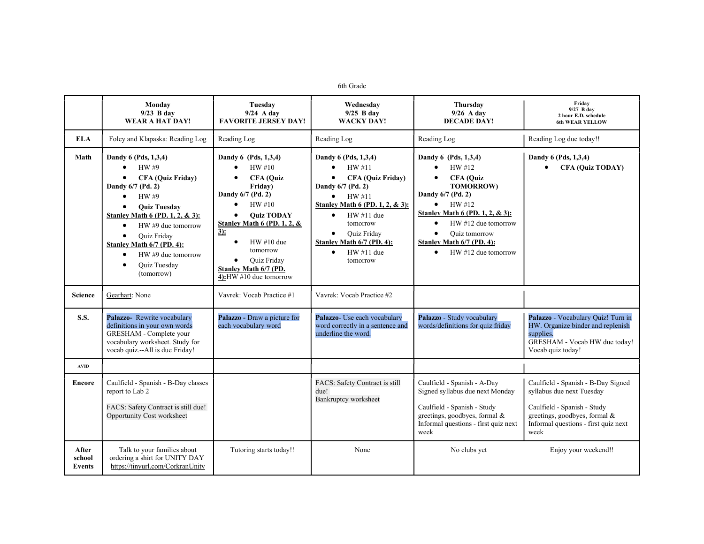## 6th Grade

|                           | Monday<br>$9/23$ B day<br>WEAR A HAT DAY!                                                                                                                                                                                                                                                                                                                                       | Tuesday<br>$9/24$ A day<br><b>FAVORITE JERSEY DAY!</b>                                                                                                                                                                                                                                                                                             | Wednesday<br>$9/25$ B day<br><b>WACKY DAY!</b>                                                                                                                                                                                                                                                                    | Thursdav<br>$9/26$ A day<br><b>DECADE DAY!</b>                                                                                                                                                                                                                                                                         | Friday<br>9/27 B day<br>2 hour E.D. schedule<br><b>6th WEAR YELLOW</b>                                                                                                          |
|---------------------------|---------------------------------------------------------------------------------------------------------------------------------------------------------------------------------------------------------------------------------------------------------------------------------------------------------------------------------------------------------------------------------|----------------------------------------------------------------------------------------------------------------------------------------------------------------------------------------------------------------------------------------------------------------------------------------------------------------------------------------------------|-------------------------------------------------------------------------------------------------------------------------------------------------------------------------------------------------------------------------------------------------------------------------------------------------------------------|------------------------------------------------------------------------------------------------------------------------------------------------------------------------------------------------------------------------------------------------------------------------------------------------------------------------|---------------------------------------------------------------------------------------------------------------------------------------------------------------------------------|
| <b>ELA</b>                | Foley and Klapaska: Reading Log                                                                                                                                                                                                                                                                                                                                                 | Reading Log                                                                                                                                                                                                                                                                                                                                        | Reading Log                                                                                                                                                                                                                                                                                                       | Reading Log                                                                                                                                                                                                                                                                                                            | Reading Log due today!!                                                                                                                                                         |
| Math                      | Dandy 6 (Pds, 1,3,4)<br>HW #9<br>$\bullet$<br><b>CFA (Quiz Friday)</b><br>$\bullet$<br>Dandy 6/7 (Pd. 2)<br>HW #9<br>$\bullet$<br><b>Ouiz Tuesday</b><br>Stanley Math 6 (PD. 1, 2, & 3):<br>$HW \#9$ due tomorrow<br>$\bullet$<br>Quiz Friday<br>$\bullet$<br>Stanley Math 6/7 (PD. 4):<br>$HW \#9$ due tomorrow<br>$\bullet$<br><b>Ouiz Tuesday</b><br>$\bullet$<br>(tomorrow) | Dandy 6 (Pds, 1,3,4)<br>HW#10<br>$\bullet$<br><b>CFA</b> (Ouiz<br>$\bullet$<br>Friday)<br>Dandy 6/7 (Pd. 2)<br>$\bullet$<br>HW#10<br><b>Ouiz TODAY</b><br>$\bullet$<br>Stanley Math $6$ (PD, 1, 2, $\&$<br>$3)$ :<br>$HW#10$ due<br>$\bullet$<br>tomorrow<br><b>Ouiz Friday</b><br>$\bullet$<br>Stanley Math 6/7 (PD.<br>4): $HW #10$ due tomorrow | Dandy 6 (Pds, 1,3,4)<br>HW#11<br>$\bullet$<br><b>CFA (Quiz Friday)</b><br>$\bullet$<br>Dandy 6/7 (Pd. 2)<br>HW#11<br>$\bullet$<br>Stanley Math 6 (PD, 1, 2, & 3):<br>$HW#11$ due<br>$\bullet$<br>tomorrow<br><b>Ouiz Friday</b><br>$\bullet$<br>Stanley Math 6/7 (PD. 4):<br>$HW#11$ due<br>$\bullet$<br>tomorrow | Dandy 6 (Pds, 1,3,4)<br>HW #12<br>$\bullet$<br><b>CFA</b> (Ouiz<br>$\bullet$<br><b>TOMORROW)</b><br>Dandy 6/7 (Pd. 2)<br>HW #12<br>$\bullet$<br>Stanley Math 6 (PD. 1, 2, & 3):<br>$HW #12$ due tomorrow<br>$\bullet$<br>Quiz tomorrow<br>$\bullet$<br>Stanley Math 6/7 (PD. 4):<br>$HW #12$ due tomorrow<br>$\bullet$ | Dandy 6 (Pds, 1,3,4)<br><b>CFA (Quiz TODAY)</b><br>$\bullet$                                                                                                                    |
| <b>Science</b>            | Gearhart: None                                                                                                                                                                                                                                                                                                                                                                  | Vavrek: Vocab Practice #1                                                                                                                                                                                                                                                                                                                          | Vavrek: Vocab Practice #2                                                                                                                                                                                                                                                                                         |                                                                                                                                                                                                                                                                                                                        |                                                                                                                                                                                 |
| <b>S.S.</b>               | Palazzo- Rewrite vocabulary<br>definitions in your own words<br><b>GRESHAM</b> - Complete your<br>vocabulary worksheet. Study for<br>vocab quiz.--All is due Friday!                                                                                                                                                                                                            | Palazzo - Draw a picture for<br>each vocabulary word                                                                                                                                                                                                                                                                                               | Palazzo- Use each vocabulary<br>word correctly in a sentence and<br>underline the word.                                                                                                                                                                                                                           | Palazzo - Study vocabulary<br>words/definitions for quiz friday                                                                                                                                                                                                                                                        | Palazzo - Vocabulary Quiz! Turn in<br>HW. Organize binder and replenish<br>supplies.<br>GRESHAM - Vocab HW due today!<br>Vocab quiz today!                                      |
| <b>AVID</b>               |                                                                                                                                                                                                                                                                                                                                                                                 |                                                                                                                                                                                                                                                                                                                                                    |                                                                                                                                                                                                                                                                                                                   |                                                                                                                                                                                                                                                                                                                        |                                                                                                                                                                                 |
| <b>Encore</b>             | Caulfield - Spanish - B-Day classes<br>report to Lab 2<br>FACS: Safety Contract is still due!<br>Opportunity Cost worksheet                                                                                                                                                                                                                                                     |                                                                                                                                                                                                                                                                                                                                                    | FACS: Safety Contract is still<br>due!<br>Bankruptcy worksheet                                                                                                                                                                                                                                                    | Caulfield - Spanish - A-Day<br>Signed syllabus due next Monday<br>Caulfield - Spanish - Study<br>greetings, goodbyes, formal &<br>Informal questions - first quiz next<br>week                                                                                                                                         | Caulfield - Spanish - B-Day Signed<br>syllabus due next Tuesday<br>Caulfield - Spanish - Study<br>greetings, goodbyes, formal &<br>Informal questions - first quiz next<br>week |
| After<br>school<br>Events | Talk to your families about<br>ordering a shirt for UNITY DAY<br>https://tinyurl.com/CorkranUnity                                                                                                                                                                                                                                                                               | Tutoring starts today!!                                                                                                                                                                                                                                                                                                                            | None                                                                                                                                                                                                                                                                                                              | No clubs yet                                                                                                                                                                                                                                                                                                           | Enjoy your weekend!!                                                                                                                                                            |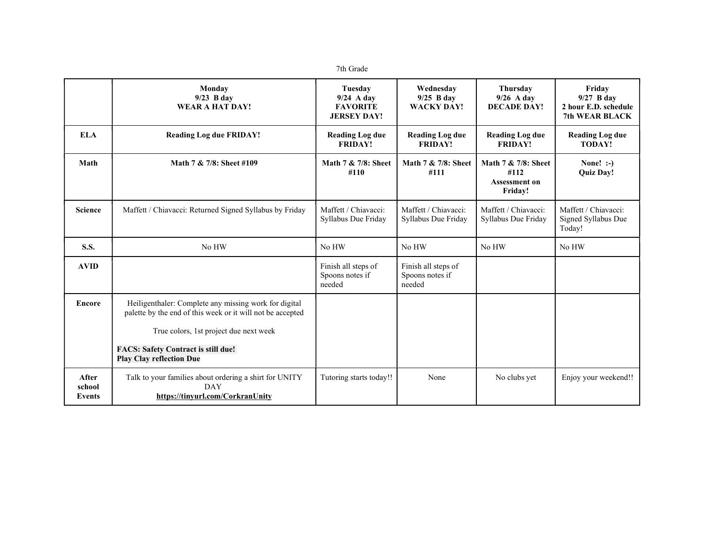|  | th Grade |
|--|----------|
|--|----------|

|                           | Monday<br>$9/23$ B day<br><b>WEAR A HAT DAY!</b>                                                                                                                                                                                               | Tuesdav<br>$9/24$ A day<br><b>FAVORITE</b><br><b>JERSEY DAY!</b> | Wednesday<br>$9/25$ B day<br><b>WACKY DAY!</b>   | Thursdav<br>$9/26$ A day<br><b>DECADE DAY!</b>          | Friday<br>$9/27$ B day<br>2 hour E.D. schedule<br><b>7th WEAR BLACK</b> |
|---------------------------|------------------------------------------------------------------------------------------------------------------------------------------------------------------------------------------------------------------------------------------------|------------------------------------------------------------------|--------------------------------------------------|---------------------------------------------------------|-------------------------------------------------------------------------|
| <b>ELA</b>                | <b>Reading Log due FRIDAY!</b>                                                                                                                                                                                                                 | <b>Reading Log due</b><br><b>FRIDAY!</b>                         | <b>Reading Log due</b><br><b>FRIDAY!</b>         | <b>Reading Log due</b><br><b>FRIDAY!</b>                | <b>Reading Log due</b><br><b>TODAY!</b>                                 |
| Math                      | Math 7 & 7/8: Sheet #109                                                                                                                                                                                                                       | Math 7 & 7/8: Sheet<br>#110                                      | Math 7 & 7/8: Sheet<br>#111                      | Math 7 & 7/8: Sheet<br>#112<br>Assessment on<br>Friday! | None! $:$<br><b>Quiz Day!</b>                                           |
| <b>Science</b>            | Maffett / Chiavacci: Returned Signed Syllabus by Friday                                                                                                                                                                                        | Maffett / Chiavacci:<br>Syllabus Due Friday                      | Maffett / Chiavacci:<br>Syllabus Due Friday      | Maffett / Chiavacci:<br>Syllabus Due Friday             | Maffett / Chiavacci:<br>Signed Syllabus Due<br>Today!                   |
| <b>S.S.</b>               | No HW                                                                                                                                                                                                                                          | No HW                                                            | No HW                                            | No HW                                                   | No HW                                                                   |
| <b>AVID</b>               |                                                                                                                                                                                                                                                | Finish all steps of<br>Spoons notes if<br>needed                 | Finish all steps of<br>Spoons notes if<br>needed |                                                         |                                                                         |
| <b>Encore</b>             | Heiligenthaler: Complete any missing work for digital<br>palette by the end of this week or it will not be accepted<br>True colors, 1st project due next week<br><b>FACS: Safety Contract is still due!</b><br><b>Play Clay reflection Due</b> |                                                                  |                                                  |                                                         |                                                                         |
| After<br>school<br>Events | Talk to your families about ordering a shirt for UNITY<br><b>DAY</b><br>https://tinyurl.com/CorkranUnity                                                                                                                                       | Tutoring starts today!!                                          | None                                             | No clubs yet                                            | Enjoy your weekend!!                                                    |